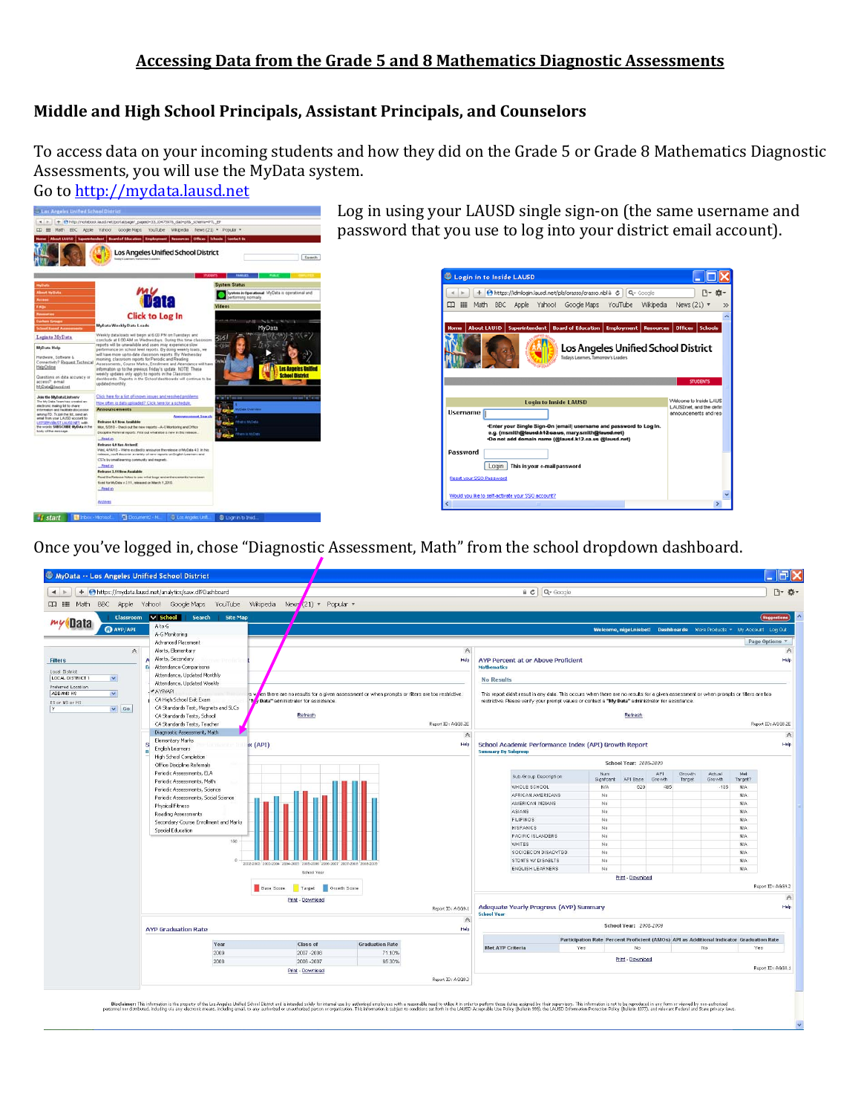# **Middle and High School Principals, Assistant Principals, and Counselors**

To access data on your incoming students and how they did on the Grade 5 or Grade 8 Mathematics Diagnostic Asses[sments, you will use the](http://mydata.lausd.net/) MyData system.

Go to <u>http://mydata.lausd.net</u>



Log in using your LAUSD single sign-on (the same username and password that you use to log into your district email account).



Once you've logged in, chose "Diagnostic Assessment, Math" from the school dropdown dashboard.

| MyData -- Los Angeles Unified School District                   |                                                            |                                                              |                                                                                                 |                                                                                                 |                                                                                                                                        |                       |                              |               |                  |                  |                                                                      | $\Box$ FK            |  |
|-----------------------------------------------------------------|------------------------------------------------------------|--------------------------------------------------------------|-------------------------------------------------------------------------------------------------|-------------------------------------------------------------------------------------------------|----------------------------------------------------------------------------------------------------------------------------------------|-----------------------|------------------------------|---------------|------------------|------------------|----------------------------------------------------------------------|----------------------|--|
| $\leftarrow$                                                    | + Ohttps://mydata.lausd.net/analytics/saw.dl?Dashboard     |                                                              |                                                                                                 |                                                                                                 | a c                                                                                                                                    | Q- Google             |                              |               |                  |                  |                                                                      | 四·春一                 |  |
| $\begin{array}{ccc} \hline \mathbb{R} & \mathbb{R} \end{array}$ | Math BBC Apple Yahoo! Google Maps YouTube                  | Wkipedia<br>News $(21)$ $\sqrt{2}$ Popular $\sqrt{2}$        |                                                                                                 |                                                                                                 |                                                                                                                                        |                       |                              |               |                  |                  |                                                                      |                      |  |
|                                                                 |                                                            |                                                              |                                                                                                 |                                                                                                 |                                                                                                                                        |                       |                              |               |                  |                  |                                                                      |                      |  |
| <b>Classroom</b><br><i>my</i> Data                              | $\vee$ School<br>Search<br><b>Site Map</b><br>A to G       |                                                              |                                                                                                 |                                                                                                 |                                                                                                                                        |                       |                              |               |                  |                  |                                                                      | <b>Suggestions</b>   |  |
| <b>O</b> AYP/API                                                | A-G Monitoring                                             |                                                              |                                                                                                 |                                                                                                 |                                                                                                                                        |                       |                              |               |                  |                  | Welcome, nigel.nisbet! Dashboards More Products . My Account Log Out |                      |  |
|                                                                 | Advanced Placement                                         |                                                              | Page Options *                                                                                  |                                                                                                 |                                                                                                                                        |                       |                              |               |                  |                  |                                                                      |                      |  |
| $\wedge$                                                        | Alerts, Elementary                                         |                                                              |                                                                                                 | $\wedge$                                                                                        |                                                                                                                                        |                       |                              |               |                  |                  | $\wedge$<br>Help                                                     |                      |  |
| <b>Filters</b>                                                  | Alerts, Secondary                                          |                                                              | Help<br><b>AYP Percent at or Above Proficient</b>                                               |                                                                                                 |                                                                                                                                        |                       |                              |               |                  |                  |                                                                      |                      |  |
| Local District                                                  | Attendance Comparisons<br>в<br>Attendance, Updated Monthly | <b>Mathematics</b>                                           |                                                                                                 |                                                                                                 |                                                                                                                                        |                       |                              |               |                  |                  |                                                                      |                      |  |
| LOCAL DISTRICT 1<br>$\checkmark$                                | Attendance, Updated Weekly                                 |                                                              |                                                                                                 |                                                                                                 | <b>No Results</b>                                                                                                                      |                       |                              |               |                  |                  |                                                                      |                      |  |
| Preferred Location<br>ADDAMS HS<br>$\checkmark$                 | <b>VAYPIAPI</b>                                            | YS W                                                         | ten there are no results for a given assessment or when prompts or filters are too restrictive. |                                                                                                 | This report didn't result in any data. This occurs when there are no results for a given assessment or when prompts or filters are too |                       |                              |               |                  |                  |                                                                      |                      |  |
| ES or MS or HS                                                  | CA High School Exit Exam                                   | <b>/ Data"</b> administrator for assistance.<br>$\mathbf{v}$ |                                                                                                 |                                                                                                 | restrictive. Please verify your prompt values or contact a "My Data" administrator for assistance.<br>Refresh<br>Report ID: AGG8.2E    |                       |                              |               |                  |                  |                                                                      |                      |  |
| $\vee$ Go<br>IY.                                                | CA Standards Test, Magnets and SLCs                        |                                                              |                                                                                                 |                                                                                                 |                                                                                                                                        |                       |                              |               |                  |                  |                                                                      |                      |  |
|                                                                 | CA Standards Tests, School<br>CA Standards Tests, Teacher  | Refresh                                                      |                                                                                                 | Report ID: AGG8.2E                                                                              |                                                                                                                                        |                       |                              |               |                  |                  |                                                                      |                      |  |
|                                                                 | Diagnostic Assessment, Math                                |                                                              |                                                                                                 |                                                                                                 |                                                                                                                                        |                       |                              |               |                  |                  |                                                                      |                      |  |
|                                                                 | Elementary Marks                                           |                                                              |                                                                                                 | $\hat{\wedge}$                                                                                  |                                                                                                                                        |                       |                              |               |                  |                  |                                                                      | $\mathbb{A}$<br>Help |  |
|                                                                 | я<br>English Learners<br>R                                 | x(API)                                                       |                                                                                                 | Help                                                                                            | School Academic Performance Index (API) Growth Report<br><b>Summary By Subgroup</b>                                                    |                       |                              |               |                  |                  |                                                                      |                      |  |
|                                                                 | High School Completion                                     |                                                              |                                                                                                 |                                                                                                 |                                                                                                                                        |                       |                              |               |                  |                  |                                                                      |                      |  |
|                                                                 | Office Discipline Referrals                                |                                                              |                                                                                                 |                                                                                                 | School Year: 2008-2009                                                                                                                 |                       |                              |               |                  |                  |                                                                      |                      |  |
|                                                                 | Periodic Assessments, ELA<br>Periodic Assessments, Math    |                                                              |                                                                                                 |                                                                                                 |                                                                                                                                        | Sub-Group Description | Num<br>Signfoant<br>API Base | API<br>Growth | Growth<br>Target | Actual<br>Growth | Met<br>Target?                                                       |                      |  |
|                                                                 | Periodic Assessments, Science                              |                                                              |                                                                                                 |                                                                                                 | WHOLE SCHOOL                                                                                                                           |                       | <b>N/A</b>                   | 620<br>485    |                  | $-135$           | N/A                                                                  |                      |  |
|                                                                 | Periodic Assessments, Social Science                       |                                                              |                                                                                                 |                                                                                                 | AFRICAN AMERICANS<br>AMERICAN INDIANS                                                                                                  |                       | No.                          |               |                  |                  | N/A                                                                  |                      |  |
|                                                                 | Physical Fitness                                           |                                                              |                                                                                                 |                                                                                                 |                                                                                                                                        |                       | No.                          |               |                  |                  | N/A                                                                  |                      |  |
|                                                                 | Reading Assessments                                        |                                                              | <b>ASIANS</b><br><b>FILIPINOS</b>                                                               |                                                                                                 | No.<br>No.                                                                                                                             |                       |                              |               | N/A<br>N/A       |                  |                                                                      |                      |  |
|                                                                 | Secondary Course Enrollment and Marks                      |                                                              |                                                                                                 |                                                                                                 | <b>HISPANICS</b>                                                                                                                       |                       | No                           |               |                  |                  | N/A                                                                  |                      |  |
|                                                                 | Special Education                                          |                                                              | PACIFIC ISLANDERS                                                                               |                                                                                                 | No                                                                                                                                     |                       |                              |               | N/A              |                  |                                                                      |                      |  |
|                                                                 | 150                                                        |                                                              |                                                                                                 |                                                                                                 | <b>WHITES</b>                                                                                                                          |                       | No                           |               |                  |                  | N/A                                                                  |                      |  |
|                                                                 |                                                            |                                                              |                                                                                                 |                                                                                                 |                                                                                                                                        | SOCIOECON DISADVTGD   | No.                          |               |                  |                  | N/A                                                                  |                      |  |
|                                                                 | $\sim$                                                     | 2002-2003<br>2003-2004 2004-2005                             |                                                                                                 |                                                                                                 | STDNTS W/ DISABLTS                                                                                                                     |                       | No                           |               |                  |                  | N/A<br>N/A                                                           |                      |  |
|                                                                 |                                                            | School Year                                                  |                                                                                                 |                                                                                                 | ENGLISH LEARNERS<br>No.                                                                                                                |                       |                              |               |                  |                  |                                                                      |                      |  |
|                                                                 |                                                            |                                                              |                                                                                                 |                                                                                                 | Print - Download<br>Report ID: AGG9.2                                                                                                  |                       |                              |               |                  |                  |                                                                      |                      |  |
|                                                                 |                                                            | Base Score<br>Target                                         | Growth Score                                                                                    |                                                                                                 |                                                                                                                                        |                       |                              |               |                  |                  |                                                                      |                      |  |
|                                                                 |                                                            | Print - Download                                             |                                                                                                 | Report ID: AGG9.1                                                                               |                                                                                                                                        |                       |                              |               |                  |                  |                                                                      | $\mathbb A$<br>Help  |  |
|                                                                 |                                                            | <b>School Year</b>                                           | Adequate Yearly Progress (AYP) Summary                                                          |                                                                                                 |                                                                                                                                        |                       |                              |               |                  |                  |                                                                      |                      |  |
|                                                                 |                                                            | $\mathbb{A}$<br>School Year: 2008-2009                       |                                                                                                 |                                                                                                 |                                                                                                                                        |                       |                              |               |                  |                  |                                                                      |                      |  |
|                                                                 | <b>AYP Graduation Rate</b>                                 | Help                                                         |                                                                                                 |                                                                                                 |                                                                                                                                        |                       |                              |               |                  |                  |                                                                      |                      |  |
|                                                                 | Year                                                       |                                                              | <b>Met AYP Criteria</b>                                                                         | Participation Rate Percent Proficient (AMOs) API as Additional Indicator Graduation Rate<br>Yes |                                                                                                                                        |                       |                              |               | Yes              |                  |                                                                      |                      |  |
|                                                                 | 2009                                                       | 2007-2008                                                    | 71.10%                                                                                          |                                                                                                 | No<br>No.                                                                                                                              |                       |                              |               |                  |                  |                                                                      |                      |  |
|                                                                 | 2008                                                       | 2006 - 2007<br>Print - Download                              | 65.30%                                                                                          |                                                                                                 |                                                                                                                                        |                       | Print - Download             |               |                  |                  |                                                                      | Report ID: AGG8.1    |  |
|                                                                 |                                                            |                                                              |                                                                                                 |                                                                                                 |                                                                                                                                        |                       |                              |               |                  |                  |                                                                      |                      |  |
|                                                                 |                                                            |                                                              |                                                                                                 | Report ID: AGG8.3                                                                               |                                                                                                                                        |                       |                              |               |                  |                  |                                                                      |                      |  |
|                                                                 |                                                            |                                                              |                                                                                                 |                                                                                                 |                                                                                                                                        |                       |                              |               |                  |                  |                                                                      |                      |  |

Dischmer The information and property of the Law of the construction of the information of the information of the state of the information of the state of the information of the information of the information of the inform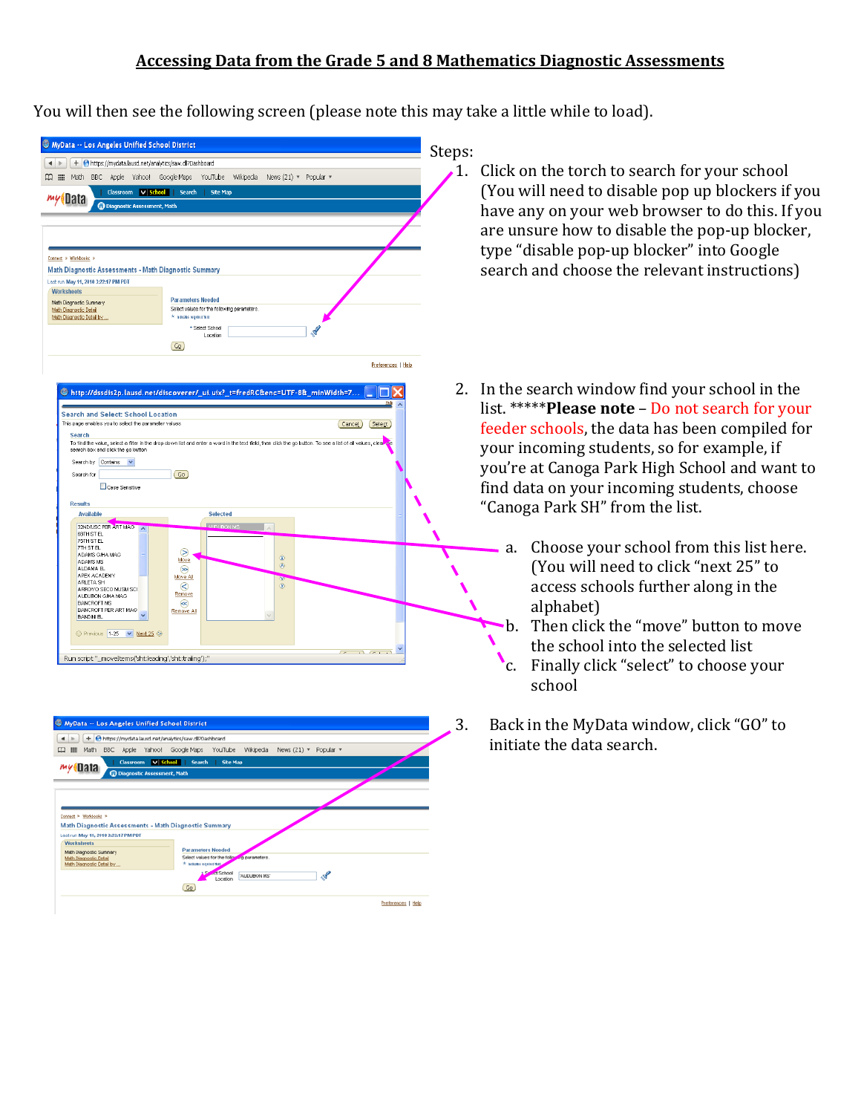You will then see the following screen (please note this may take a little while to load).

| + Ohttps://mydata.lausd.net/analytics/saw.dl?Dashboard<br>$\leftarrow$<br>BBC Apple Yahoo! Google Maps<br>$\Box$ $\Box$ Math                                             |                                                                                                                                                                                      | Steps:                                                      |
|--------------------------------------------------------------------------------------------------------------------------------------------------------------------------|--------------------------------------------------------------------------------------------------------------------------------------------------------------------------------------|-------------------------------------------------------------|
|                                                                                                                                                                          | YouTube<br>Wikipedia<br>News (21) $\mathbf{v}$ Popular $\mathbf{v}$                                                                                                                  | Click on<br>1.                                              |
| Classroom V School Search<br>wyoData<br>Diagnostic Assessment, Math                                                                                                      | <b>Site Map</b>                                                                                                                                                                      | (You wi<br>have an                                          |
| Connect > Workbooks ><br>Math Diagnostic Assessments - Math Diagnostic Summary                                                                                           |                                                                                                                                                                                      | are unsi<br>type "di<br>search a                            |
| Last run May 11, 2010 3:22:17 PM PDT<br><b>Worksheets</b><br>Math Diagnostic Summary<br>Math Diagnostic Detail<br>Math Diacnostic Detail by                              | <b>Parameters Needed</b><br>Select values for the following parameters.<br>* Indicates required field                                                                                |                                                             |
|                                                                                                                                                                          | * Select School<br>Location<br>$(G_2)$                                                                                                                                               |                                                             |
| <b>Search and Select: School Location</b>                                                                                                                                | ® http://dssdis2p.lausd.net/discoverer/_ui.uix?_t=fredRC&enc=UTF-8&_minWidth=7                                                                                                       | Preferences   Help<br>2.<br>In the so<br>Help<br>list. **** |
| This page enables you to select the parameter values<br><b>Search</b><br>search box and click the go button<br>Search by Contains v                                      | Cancel <sub>1</sub><br>To find the value, select a filter in the drop down list and enter a word in the text field, then click the go button. To see a list of all values, clear use | Select<br>feeder s<br>your ind                              |
| Search for<br>Case Sensitive                                                                                                                                             | $\boxed{Go}$                                                                                                                                                                         | you're a<br>find dat                                        |
| <b>Results</b><br>Available<br><b>32ND/USC PER ART MAG</b><br>$\overline{A}$<br><b>68TH ST EL</b>                                                                        | <b>Selected</b><br><b>ALIDUBON MS</b>                                                                                                                                                | "Canoga                                                     |
|                                                                                                                                                                          | ⊝                                                                                                                                                                                    | a.                                                          |
| 75TH ST EL<br><b>7TH ST EL</b><br>ADAMS G/HA MAG<br>ADAMS MS<br>ALDAMA FL<br>APEX ACADEMY<br>ARLETA SH<br>ARROYO SECO MUSM SCI<br>AUDUBON G/HA MAG<br><b>BANCROFT MS</b> | $\circledast$<br>Move<br>$\infty$<br>ଇ<br>Move All<br>$\overline{\mathbf{v}}$<br> <<br>$^{\circledR}$<br>Remove<br>$\approx$                                                         |                                                             |

| + Ohttps://mydata.lausd.net/analytics/saw.dll?Dashboard<br>$\blacksquare$                                                                   |                                                                      |  |
|---------------------------------------------------------------------------------------------------------------------------------------------|----------------------------------------------------------------------|--|
| $\begin{array}{c} \square \end{array}$<br>冊<br>Math                                                                                         | BBC Apple Yahoo! Google Maps YouTube Wikipedia News (21) * Popular * |  |
| Classroom                                                                                                                                   | v School Search<br>Site Map                                          |  |
| Data<br><b>O Diagnostic Assessment, Math</b>                                                                                                |                                                                      |  |
|                                                                                                                                             |                                                                      |  |
|                                                                                                                                             |                                                                      |  |
|                                                                                                                                             |                                                                      |  |
|                                                                                                                                             |                                                                      |  |
|                                                                                                                                             |                                                                      |  |
|                                                                                                                                             |                                                                      |  |
|                                                                                                                                             |                                                                      |  |
| Connect > Workbookz ><br>Math Diagnostic Assessments - Math Diagnostic Summary<br>Last run May 11, 2010 3:22:17 PM PDT<br><b>Worksheets</b> |                                                                      |  |
| Math Diagnostic Summary                                                                                                                     | <b>Parameters Needed</b>                                             |  |
| Meth Discreatic Detail                                                                                                                      | Select values for the follow<br>o parameters.                        |  |
| Meth Disgnostic Detail by                                                                                                                   | $\pm$ addition requirement                                           |  |
|                                                                                                                                             | <b>Ct</b> School<br>'AUDUBON MS'<br>Location                         |  |
|                                                                                                                                             | $G_{\Omega}$                                                         |  |

- the torch to search for your school Ill need to disable pop up blockers if you y on your web browser to do this. If you ure how to disable the pop-up blocker, tsable pop-up blocker" into Google and choose the relevant instructions)
- earch window find your school in the **Please note** – Do not search for your schools, the data has been compiled for coming students, so for example, if at Canoga Park High School and want to a on your incoming students, choose a Park SH" from the list.
	- Choose your school from this list here. (You will need to click "next 25" to access schools further along in the alphabet)
	- Then click the "move" button to move the school into the selected list
	- Finally click "select" to choose your school
- . Back in the MyData window, click "GO" to initiate the data search. 3.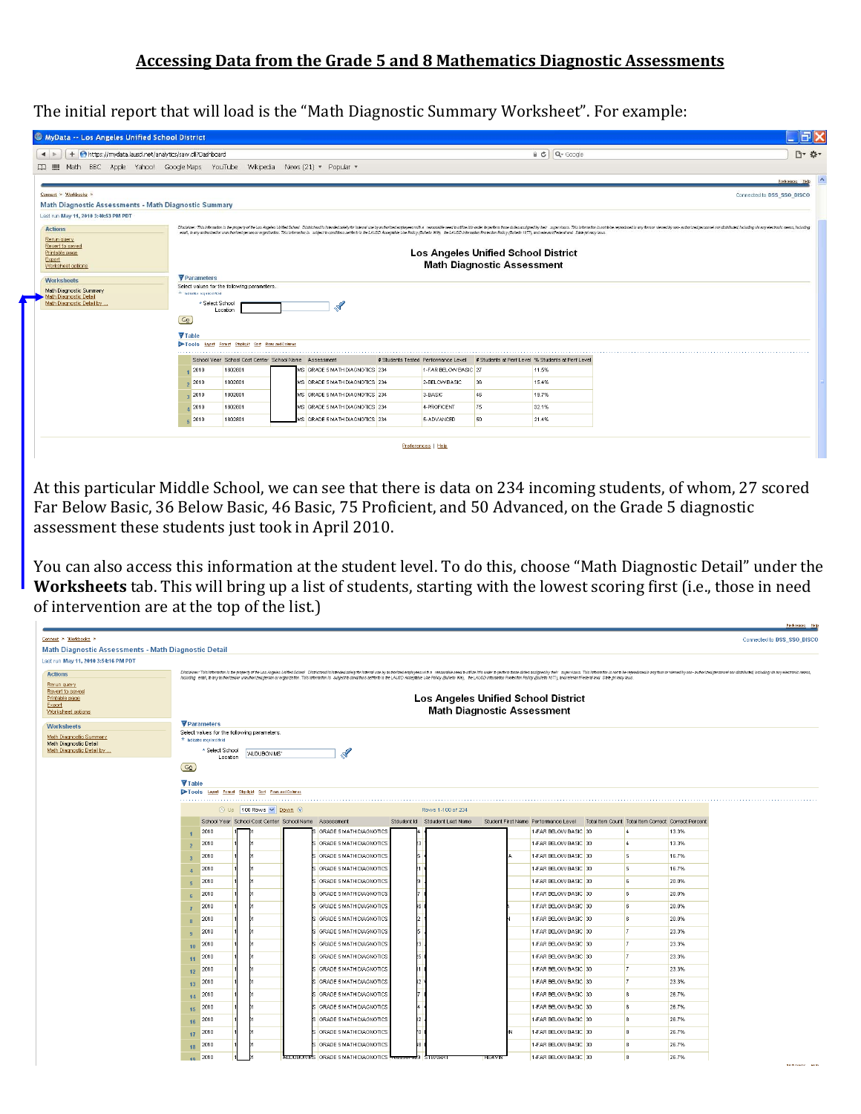The initial report that will load is the "Math Diagnostic Summary Worksheet". For example:

| MyData -- Los Angeles Unified School District                                                  |                                                                                                                                                                                                                                |                                                                  |  |                                |  |                                                             |                                   |                                                            | FIX                                                                                                                                                                                                                            |  |  |  |
|------------------------------------------------------------------------------------------------|--------------------------------------------------------------------------------------------------------------------------------------------------------------------------------------------------------------------------------|------------------------------------------------------------------|--|--------------------------------|--|-------------------------------------------------------------|-----------------------------------|------------------------------------------------------------|--------------------------------------------------------------------------------------------------------------------------------------------------------------------------------------------------------------------------------|--|--|--|
| + Ohttps://mydata.lausd.net/analytics/saw.dl?Dashboard<br>$\blacktriangleleft$                 |                                                                                                                                                                                                                                |                                                                  |  |                                |  |                                                             |                                   | a c Q- Google                                              | 円- 数-                                                                                                                                                                                                                          |  |  |  |
| Math BBC Apple Yahoo! Google Maps YouTube Wikipedia News (21) * Popular *<br>照<br>$\mathbf{m}$ |                                                                                                                                                                                                                                |                                                                  |  |                                |  |                                                             |                                   |                                                            |                                                                                                                                                                                                                                |  |  |  |
|                                                                                                |                                                                                                                                                                                                                                |                                                                  |  |                                |  |                                                             |                                   |                                                            | Preferences Help                                                                                                                                                                                                               |  |  |  |
| Connect > Workbooks >                                                                          |                                                                                                                                                                                                                                |                                                                  |  |                                |  |                                                             |                                   |                                                            | Connected to DSS_SSO_DISCO                                                                                                                                                                                                     |  |  |  |
| Math Diagnostic Assessments - Math Diagnostic Summary                                          |                                                                                                                                                                                                                                |                                                                  |  |                                |  |                                                             |                                   |                                                            |                                                                                                                                                                                                                                |  |  |  |
| Last run May 11, 2010 3:40:53 PM PDT                                                           |                                                                                                                                                                                                                                |                                                                  |  |                                |  |                                                             |                                   |                                                            |                                                                                                                                                                                                                                |  |  |  |
| <b>Actions</b>                                                                                 |                                                                                                                                                                                                                                |                                                                  |  |                                |  |                                                             |                                   |                                                            | Discipline: This intermedia is the property of the Los Angeles United Science Interaction Districtantis in tended solely for internal use by autorized enginyees with a reasonable need to other the perform food duties assig |  |  |  |
| Rerun query<br>Revert to saved                                                                 | enal, b any autorizedor unautorized person or organizator. This informator is subject to concitons setforth in the LAUSD Acceptable Use Policy (Bulletin 999), the LAUSD informator Protector Policy (Bulletin 1077), and rele |                                                                  |  |                                |  |                                                             |                                   |                                                            |                                                                                                                                                                                                                                |  |  |  |
| Printable page<br>Export                                                                       | Los Angeles Unified School District                                                                                                                                                                                            |                                                                  |  |                                |  |                                                             |                                   |                                                            |                                                                                                                                                                                                                                |  |  |  |
| Worksheet options                                                                              |                                                                                                                                                                                                                                |                                                                  |  |                                |  |                                                             | <b>Math Diagnostic Assessment</b> |                                                            |                                                                                                                                                                                                                                |  |  |  |
| <b>Worksheets</b>                                                                              | Parameters                                                                                                                                                                                                                     |                                                                  |  |                                |  |                                                             |                                   |                                                            |                                                                                                                                                                                                                                |  |  |  |
| Math Diagnostic Summary                                                                        | * ladisates required field                                                                                                                                                                                                     | Select values for the following parameters.                      |  |                                |  |                                                             |                                   |                                                            |                                                                                                                                                                                                                                |  |  |  |
| Math Diagnostic Detail<br>Math Diagnostic Detail by .                                          | * Select School                                                                                                                                                                                                                |                                                                  |  | $\mathcal{A}$                  |  |                                                             |                                   |                                                            |                                                                                                                                                                                                                                |  |  |  |
|                                                                                                | $\boxed{G_0}$                                                                                                                                                                                                                  | Location                                                         |  |                                |  |                                                             |                                   |                                                            |                                                                                                                                                                                                                                |  |  |  |
|                                                                                                |                                                                                                                                                                                                                                |                                                                  |  |                                |  |                                                             |                                   |                                                            |                                                                                                                                                                                                                                |  |  |  |
|                                                                                                | <b>▼</b> Table<br>$\triangleright$ Tools                                                                                                                                                                                       | Laott Fornat Stolight Sort Rows and Column                       |  |                                |  |                                                             |                                   |                                                            |                                                                                                                                                                                                                                |  |  |  |
|                                                                                                |                                                                                                                                                                                                                                |                                                                  |  |                                |  |                                                             |                                   |                                                            |                                                                                                                                                                                                                                |  |  |  |
|                                                                                                |                                                                                                                                                                                                                                | School Year School Cost Center School Name Assessment<br>1802801 |  |                                |  | # Students Tested Performance Level<br>1-FAR BELOW BASIC 27 |                                   | # Students at Perf Level % Students at Perf Level<br>11.5% |                                                                                                                                                                                                                                |  |  |  |
|                                                                                                | 2010                                                                                                                                                                                                                           |                                                                  |  | MS GRADE 5 MATH DIAGNOTICS 234 |  |                                                             |                                   |                                                            |                                                                                                                                                                                                                                |  |  |  |
|                                                                                                | 2010                                                                                                                                                                                                                           | 1802801                                                          |  | MS GRADE 5 MATH DIAGNOTICS 234 |  | 2-BELOW BASIC                                               | 36                                | 15.4%                                                      |                                                                                                                                                                                                                                |  |  |  |
|                                                                                                | , 2010                                                                                                                                                                                                                         | 1802801                                                          |  | MS GRADE 5 MATH DIAGNOTICS 234 |  | 3-BASIC                                                     | 46                                | 19.7%                                                      |                                                                                                                                                                                                                                |  |  |  |
|                                                                                                | 42010                                                                                                                                                                                                                          | 1802801                                                          |  | MS GRADE 5 MATH DIAGNOTICS 234 |  | 4-PROFICIENT                                                | 75                                | 32.1%                                                      |                                                                                                                                                                                                                                |  |  |  |
|                                                                                                | $E = 2010$                                                                                                                                                                                                                     | 1802801                                                          |  | MS GRADE 5 MATH DIAGNOTICS 234 |  | 5-ADVANCED                                                  | 50                                | 21.4%                                                      |                                                                                                                                                                                                                                |  |  |  |
|                                                                                                |                                                                                                                                                                                                                                |                                                                  |  |                                |  |                                                             |                                   |                                                            |                                                                                                                                                                                                                                |  |  |  |
|                                                                                                |                                                                                                                                                                                                                                |                                                                  |  |                                |  | Preferences   Help                                          |                                   |                                                            |                                                                                                                                                                                                                                |  |  |  |

At this particular Middle School, we can see that there is data on 234 incoming students, of whom, 27 scored Far Below Basic, 36 Below Basic, 46 Basic, 75 Proficient, and 50 Advanced, on the Grade 5 diagnostic assessment these students just took in April 2010.

You can also access this information at the student level. To do this, choose "Math Diagnostic Detail" under the **orksheets** tab. This will bring up a list of students, starting with the lowest scoring first (i.e., those in need **W** of intervention are at the top of the list.)

 $\overline{a}$ 

| Connect > Workbooks >                                |                                                                          |                                                                                                                                                                                                                                                                                                                                                                                                                                                                  |                                |                                      |                                                     |       | Connected to DSS_SSO_DISCO   |  |  |  |  |  |
|------------------------------------------------------|--------------------------------------------------------------------------|------------------------------------------------------------------------------------------------------------------------------------------------------------------------------------------------------------------------------------------------------------------------------------------------------------------------------------------------------------------------------------------------------------------------------------------------------------------|--------------------------------|--------------------------------------|-----------------------------------------------------|-------|------------------------------|--|--|--|--|--|
| Math Diagnostic Assessments - Math Diagnostic Detail |                                                                          |                                                                                                                                                                                                                                                                                                                                                                                                                                                                  |                                |                                      |                                                     |       |                              |  |  |  |  |  |
| Last run May 11, 2010 3:54:16 PM PDT                 |                                                                          |                                                                                                                                                                                                                                                                                                                                                                                                                                                                  |                                |                                      |                                                     |       |                              |  |  |  |  |  |
| <b>Actions</b>                                       |                                                                          | Dischiner: This information is the poperty of the Los Angeles Unified School Districtand is intended subject intental use by autoscience produced next to a reasonable need to utilize it in order to perform those duties ass<br>Including email, to any autor/zed or unautorized person or organization. This information is subject to conditions settern in the LAUSD Acceptable Use Policy (Bulletin 999). the LAUSD information Protected Policy (Bulletin |                                |                                      |                                                     |       |                              |  |  |  |  |  |
| Rerun query                                          |                                                                          |                                                                                                                                                                                                                                                                                                                                                                                                                                                                  |                                |                                      |                                                     |       |                              |  |  |  |  |  |
| Revert to saved<br>Printable page                    |                                                                          |                                                                                                                                                                                                                                                                                                                                                                                                                                                                  |                                | Los Angeles Unified School District  |                                                     |       |                              |  |  |  |  |  |
| Export<br>Worksheet options                          |                                                                          |                                                                                                                                                                                                                                                                                                                                                                                                                                                                  |                                | <b>Math Diagnostic Assessment</b>    |                                                     |       |                              |  |  |  |  |  |
| <b>Worksheets</b>                                    | $\nabla$ Parameters                                                      |                                                                                                                                                                                                                                                                                                                                                                                                                                                                  |                                |                                      |                                                     |       |                              |  |  |  |  |  |
| Math Diagnostic Summary                              | Select values for the following parameters<br>* Indicates required field |                                                                                                                                                                                                                                                                                                                                                                                                                                                                  |                                |                                      |                                                     |       |                              |  |  |  |  |  |
| Math Diagnostic Detail<br>Math Diagnostic Detail by  | * Select School                                                          |                                                                                                                                                                                                                                                                                                                                                                                                                                                                  |                                |                                      |                                                     |       |                              |  |  |  |  |  |
|                                                      | 2<br>'AUDUBON MS'<br>Location                                            |                                                                                                                                                                                                                                                                                                                                                                                                                                                                  |                                |                                      |                                                     |       |                              |  |  |  |  |  |
|                                                      | $G_{2}$                                                                  |                                                                                                                                                                                                                                                                                                                                                                                                                                                                  |                                |                                      |                                                     |       |                              |  |  |  |  |  |
|                                                      | <b>▼</b> Table                                                           |                                                                                                                                                                                                                                                                                                                                                                                                                                                                  |                                |                                      |                                                     |       |                              |  |  |  |  |  |
|                                                      | Tools Laott Format Stellalt Sort Row and Column                          |                                                                                                                                                                                                                                                                                                                                                                                                                                                                  |                                |                                      |                                                     |       |                              |  |  |  |  |  |
|                                                      | ① Up 100 Rows ♥ Down ①                                                   |                                                                                                                                                                                                                                                                                                                                                                                                                                                                  | Rows 1-100 of 234              |                                      |                                                     |       |                              |  |  |  |  |  |
|                                                      |                                                                          | School Year School Cost Center School Name Assessment                                                                                                                                                                                                                                                                                                                                                                                                            | Stdudent Id Stdudent Last Name | Student First Name Performance Level | Total Item Count Total Item Correct Correct Percent |       |                              |  |  |  |  |  |
|                                                      | 2010<br>$\overline{1}$                                                   | GRADE 5 MATH DIAGNOTICS                                                                                                                                                                                                                                                                                                                                                                                                                                          |                                | 1-FAR BELOW BASIC 30                 | $\frac{1}{4}$                                       | 13.3% |                              |  |  |  |  |  |
|                                                      | 2010<br>$\overline{2}$                                                   | GRADE 5 MATH DIAGNOTICS                                                                                                                                                                                                                                                                                                                                                                                                                                          |                                | 1-FAR BELOW BASIC 30                 | $\sqrt{4}$                                          | 13.3% |                              |  |  |  |  |  |
|                                                      | 2010<br>$\overline{3}$                                                   | GRADE 5 MATH DIAGNOTICS                                                                                                                                                                                                                                                                                                                                                                                                                                          |                                | 1-FAR BELOW BASIC 30                 | 5                                                   | 16.7% |                              |  |  |  |  |  |
|                                                      | 2010<br>$\overline{a}$                                                   | GRADE 5 MATH DIAGNOTICS                                                                                                                                                                                                                                                                                                                                                                                                                                          |                                | 1-FAR BELOW BASIC 30                 | $\sim$                                              | 16.7% |                              |  |  |  |  |  |
|                                                      | 2010<br>5                                                                | GRADE 5 MATH DIAGNOTICS                                                                                                                                                                                                                                                                                                                                                                                                                                          |                                | 1-FAR BELOW BASIC 30                 | 6                                                   | 20.0% |                              |  |  |  |  |  |
|                                                      | 2010<br>6                                                                | GRADE 5 MATH DIAGNOTICS                                                                                                                                                                                                                                                                                                                                                                                                                                          |                                | 1-FAR BELOW BASIC 30                 | 6                                                   | 20.0% |                              |  |  |  |  |  |
|                                                      | 2010<br>$\overline{7}$                                                   | GRADE 5 MATH DIAGNOTICS                                                                                                                                                                                                                                                                                                                                                                                                                                          |                                | 1-FAR BELOW BASIC 30                 | <b>6</b>                                            | 20.0% |                              |  |  |  |  |  |
|                                                      | 2010<br>$\mathbf{8}$                                                     | GRADE 5 MATH DIAGNOTICS                                                                                                                                                                                                                                                                                                                                                                                                                                          |                                | 1-FAR BELOW BASIC 30                 | 6                                                   | 20.0% |                              |  |  |  |  |  |
|                                                      | 2010<br>9                                                                | GRADE 5 MATH DIAGNOTICS                                                                                                                                                                                                                                                                                                                                                                                                                                          |                                | 1-FAR BELOW BASIC 30                 | $\overline{7}$                                      | 23.3% |                              |  |  |  |  |  |
|                                                      | 2010<br>10                                                               | GRADE 5 MATH DIAGNOTICS                                                                                                                                                                                                                                                                                                                                                                                                                                          |                                | 1-FAR BELOW BASIC 30                 | $\overline{7}$                                      | 23.3% |                              |  |  |  |  |  |
|                                                      | 11 2010                                                                  | GRADE 5 MATH DIAGNOTICS                                                                                                                                                                                                                                                                                                                                                                                                                                          |                                | 1-FAR BELOW BASIC 30                 | $\overline{7}$                                      | 23.3% |                              |  |  |  |  |  |
|                                                      | 2010<br>12                                                               | GRADE 5 MATH DIAGNOTICS                                                                                                                                                                                                                                                                                                                                                                                                                                          |                                | 1-FAR BELOW BASIC 30                 | $\overline{7}$                                      | 23.3% |                              |  |  |  |  |  |
|                                                      | 2010<br>13 <sup>°</sup>                                                  | GRADE 5 MATH DIAGNOTICS                                                                                                                                                                                                                                                                                                                                                                                                                                          |                                | 1-FAR BELOW BASIC 30                 | $\overline{7}$                                      | 23.3% |                              |  |  |  |  |  |
|                                                      | 14 2010                                                                  | GRADE 5 MATH DIAGNOTICS                                                                                                                                                                                                                                                                                                                                                                                                                                          |                                | 1-FAR BELOW BASIC 30                 | 8                                                   | 26.7% |                              |  |  |  |  |  |
|                                                      | 2010<br>15                                                               | GRADE 5 MATH DIAGNOTICS                                                                                                                                                                                                                                                                                                                                                                                                                                          |                                | 1-FAR BELOW BASIC 30                 | 8                                                   | 26.7% |                              |  |  |  |  |  |
|                                                      | 2010                                                                     | GRADE 5 MATH DIAGNOTICS                                                                                                                                                                                                                                                                                                                                                                                                                                          |                                | 1-FAR BELOW BASIC 30                 | 8                                                   | 26.7% |                              |  |  |  |  |  |
|                                                      | 16<br>17 2010                                                            | GRADE 5 MATH DIAGNOTICS                                                                                                                                                                                                                                                                                                                                                                                                                                          |                                | 1-FAR BELOW BASIC 30                 | $\mathbf{8}$                                        | 26.7% |                              |  |  |  |  |  |
|                                                      | 18 2010                                                                  | GRADE 5 MATH DIAGNOTICS                                                                                                                                                                                                                                                                                                                                                                                                                                          |                                | 1-FAR BELOW BASIC 30                 | $\sim$                                              | 26.7% |                              |  |  |  |  |  |
|                                                      | 19 2010                                                                  | AUDUBUN MS GRADE 5 MATH DIAGNOTICS TO ELEMENTS                                                                                                                                                                                                                                                                                                                                                                                                                   |                                | 1-FAR BELOW BASIC 30                 | 8                                                   | 26.7% |                              |  |  |  |  |  |
|                                                      |                                                                          |                                                                                                                                                                                                                                                                                                                                                                                                                                                                  |                                | TEA VIN                              |                                                     |       | <b>Death in Long.</b> He has |  |  |  |  |  |